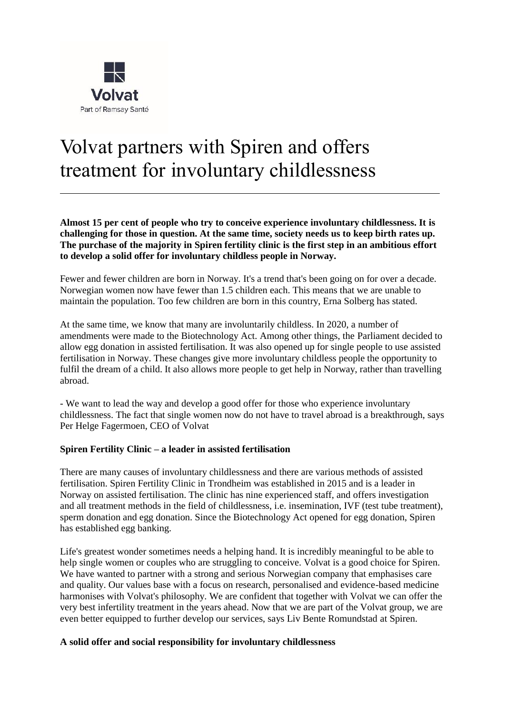

# Volvat partners with Spiren and offers treatment for involuntary childlessness

**Almost 15 per cent of people who try to conceive experience involuntary childlessness. It is challenging for those in question. At the same time, society needs us to keep birth rates up. The purchase of the majority in Spiren fertility clinic is the first step in an ambitious effort to develop a solid offer for involuntary childless people in Norway.**

Fewer and fewer children are born in Norway. It's a trend that's been going on for over a decade. Norwegian women now have fewer than 1.5 children each. This means that we are unable to maintain the population. Too few children are born in this country, Erna Solberg has stated.

At the same time, we know that many are involuntarily childless. In 2020, a number of amendments were made to the Biotechnology Act. Among other things, the Parliament decided to allow egg donation in assisted fertilisation. It was also opened up for single people to use assisted fertilisation in Norway. These changes give more involuntary childless people the opportunity to fulfil the dream of a child. It also allows more people to get help in Norway, rather than travelling abroad.

- We want to lead the way and develop a good offer for those who experience involuntary childlessness. The fact that single women now do not have to travel abroad is a breakthrough, says Per Helge Fagermoen, CEO of Volvat

#### **Spiren Fertility Clinic – a leader in assisted fertilisation**

There are many causes of involuntary childlessness and there are various methods of assisted fertilisation. Spiren Fertility Clinic in Trondheim was established in 2015 and is a leader in Norway on assisted fertilisation. The clinic has nine experienced staff, and offers investigation and all treatment methods in the field of childlessness, i.e. insemination, IVF (test tube treatment), sperm donation and egg donation. Since the Biotechnology Act opened for egg donation, Spiren has established egg banking.

Life's greatest wonder sometimes needs a helping hand. It is incredibly meaningful to be able to help single women or couples who are struggling to conceive. Volvat is a good choice for Spiren. We have wanted to partner with a strong and serious Norwegian company that emphasises care and quality. Our values base with a focus on research, personalised and evidence-based medicine harmonises with Volvat's philosophy. We are confident that together with Volvat we can offer the very best infertility treatment in the years ahead. Now that we are part of the Volvat group, we are even better equipped to further develop our services, says Liv Bente Romundstad at Spiren.

#### **A solid offer and social responsibility for involuntary childlessness**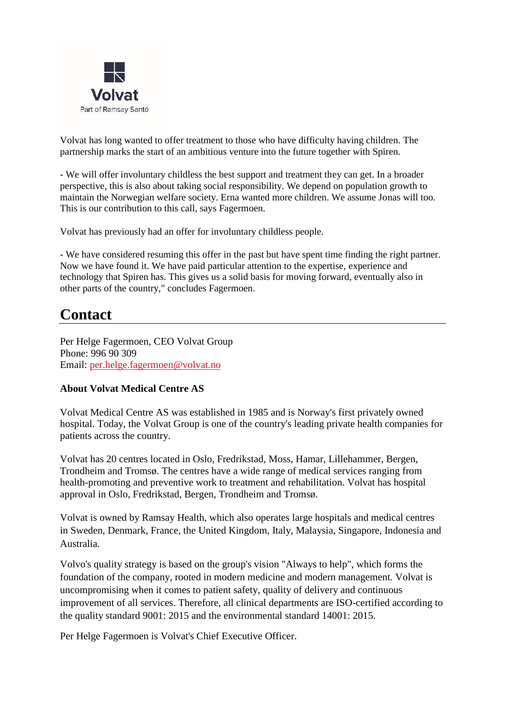

Volvat has long wanted to offer treatment to those who have difficulty having children. The partnership marks the start of an ambitious venture into the future together with Spiren.

- We will offer involuntary childless the best support and treatment they can get. In a broader perspective, this is also about taking social responsibility. We depend on population growth to maintain the Norwegian welfare society. Erna wanted more children. We assume Jonas will too. This is our contribution to this call, says Fagermoen.

Volvat has previously had an offer for involuntary childless people.

- We have considered resuming this offer in the past but have spent time finding the right partner. Now we have found it. We have paid particular attention to the expertise, experience and technology that Spiren has. This gives us a solid basis for moving forward, eventually also in other parts of the country," concludes Fagermoen.

## **Contact**

Per Helge Fagermoen, CEO Volvat Group Phone: 996 90 309 Email: [per.helge.fagermoen@volvat.no](mailto:per.helge.fagermoen@volvat.no)

### **About Volvat Medical Centre AS**

Volvat Medical Centre AS was established in 1985 and is Norway's first privately owned hospital. Today, the Volvat Group is one of the country's leading private health companies for patients across the country.

Volvat has 20 centres located in Oslo, Fredrikstad, Moss, Hamar, Lillehammer, Bergen, Trondheim and Tromsø. The centres have a wide range of medical services ranging from health-promoting and preventive work to treatment and rehabilitation. Volvat has hospital approval in Oslo, Fredrikstad, Bergen, Trondheim and Tromsø.

Volvat is owned by Ramsay Health, which also operates large hospitals and medical centres in Sweden, Denmark, France, the United Kingdom, Italy, Malaysia, Singapore, Indonesia and Australia.

Volvo's quality strategy is based on the group's vision "Always to help", which forms the foundation of the company, rooted in modern medicine and modern management. Volvat is uncompromising when it comes to patient safety, quality of delivery and continuous improvement of all services. Therefore, all clinical departments are ISO-certified according to the quality standard 9001: 2015 and the environmental standard 14001: 2015.

Per Helge Fagermoen is Volvat's Chief Executive Officer.